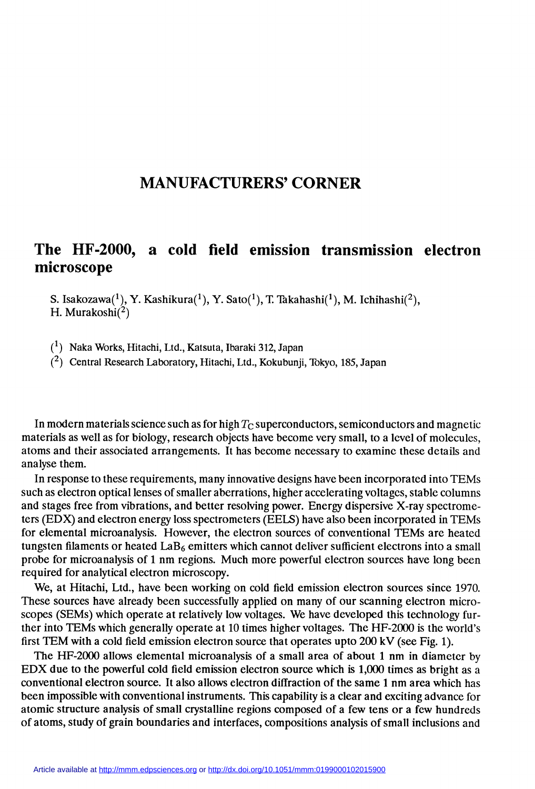## MANUFACTURERS' CORNER

## The HF-2000, a cold field emission transmission electron microscope

S. Isakozawa $(1)$ , Y. Kashikura $(1)$ , Y. Sato $(1)$ , T. Takahashi $(1)$ , M. Ichihashi $(2)$ , H. Murakoshi $(2)$ 

(1) Naka Works, Hitachi, Ltd., Katsuta, Ibaraki 312, Japan

(2) Central Research Laboratory, Hitachi, Ltd., Kokubunji, Tokyo, 185, Japan

In modern materials science such as for high  $T_{\rm C}$  superconductors, semiconductors and magnetic materials as well as for biology, research objects have become very small, to a level of molecules, atoms and their associated arrangements. It has become necessary to examine these details and analyse them.

In response to these requirements, many innovative designs have been incorporated into TEMs such as electron optical lenses of smaller aberrations, higher accelerating voltages, stable columns and stages free from vibrations, and better resolving power. Energy dispersive X-ray spectrometers (EDX) and electron energy loss spectrometers (EELS) have also been incorporated in TEMs for elemental microanalysis. However, the electron sources of conventional TEMs are heated tungsten filaments or heated  $\text{LaB}_6$  emitters which cannot deliver sufficient electrons into a small probe for microanalysis of 1 nm regions. Much more powerful electron sources have long been required for analytical electron microscopy.

We, at Hitachi, Ltd., have been working on cold field emission electron sources since 1970. These sources have already been successfully applied on many of our scanning electron microscopes (SEMs) which operate at relatively low voltages. We have developed this technology further into TEMs which generally operate at 10 times higher voltages. The HF-2000 is the world's first TEM with a cold field emission electron source that operates upto 200 kV (see Fig. 1).

The HF-2000 allows elemental microanalysis of a small area of about 1 nm in diametcr by EDX due to the powerful cold field emission electron source which is 1,000 times as bright as a conventional electron source. It also allows electron diffraction of the same 1 nm area which has been impossible with conventional instruments. This capability is a clear and exciting advance for atomic structure analysis of small crystalline regions composed of a few tens or a few hundreds of atoms, study of grain boundaries and interfaces, compositions analysis of small inclusions and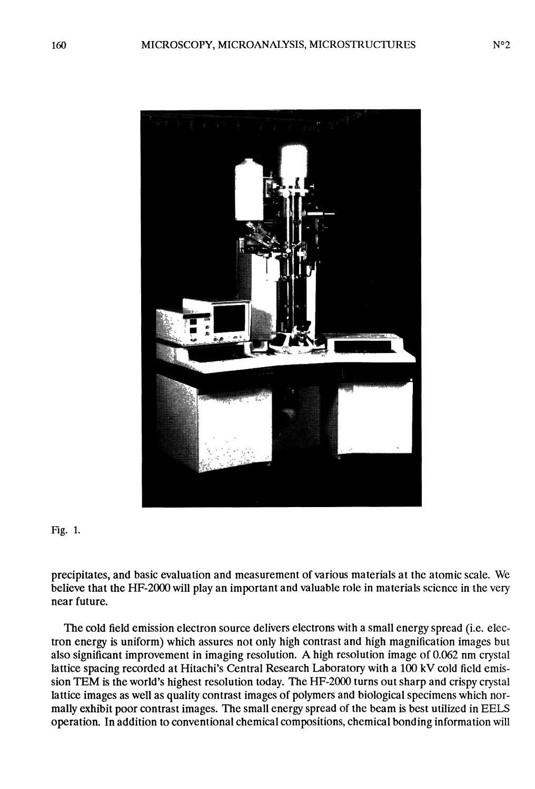

Fig. 1.

precipitates, and basic evaluation and measurement of various materials at the atomic scale. We believe that the HF-2000 will play an important and valuable role in materials science in the very near future.

The cold field emission electron source delivers electrons with a small energy spread (i.e. electron energy is uniform) which assures not only high contrast and high magnification images but also significant improvement in imaging resolution. A high resolution image of 0.062 nm crystal lattice spacing recorded at Hitachi's Central Research Laboratory with a 100 kV cold field emission TEM is the world's highest resolution today. The HF-2000 turns out sharp and crispy crystal lattice images as well as quality contrast images of polymers and biological specimens which normally exhibit poor contrast images. The small energy spread of the beam is best utilized in EELS operation. In addition to conventional chemical compositions, chemical bonding information will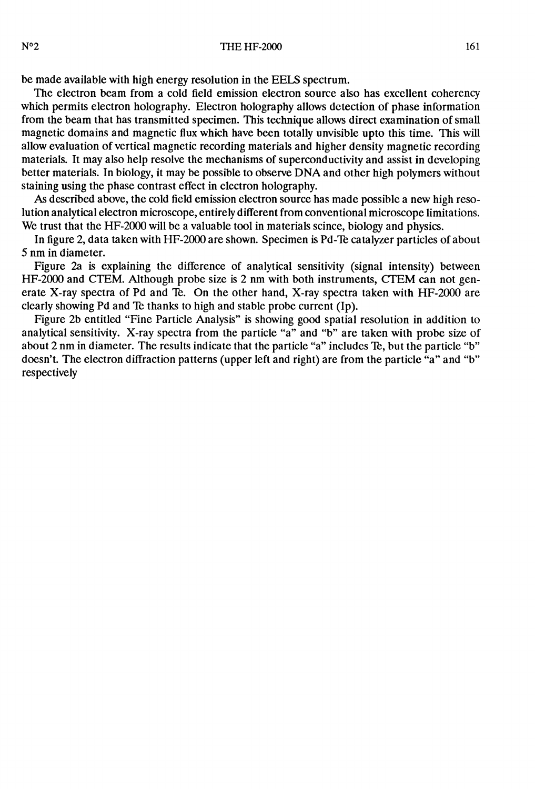be made available with high energy resolution in the EELS spectrum.

The electron beam from a cold field emission electron source also has excellent coherency which permits electron holography. Electron holography allows detection of phase information from the beam that has transmitted specimen. This technique allows direct examination of small magnetic domains and magnetic flux which have been totally unvisible upto this time. This will allow evaluation of vertical magnetic recording materials and higher density magnetic recording materials. It may also help resolve the mechanisms of superconductivity and assist in dcveloping better materials. In biology, it may be possible to observe DNA and other high polymers without staining using the phase contrast effect in electron holography.

As described above, the cold field emission electron source has made possible a new high resolution analytical electron microscope, entirely different from conventional microscope limitations. We trust that the HF-2000 will be a valuable tool in materials scince, biology and physics.

In figure 2, data taken with HF-2000 are shown. Specimen is Pd-Te catalyzer particles of about 5 nm in diameter.

Figure 2a is explaining the difference of analytical sensitivity (signal intensity) between HF-2000 and CTEM. Although probe size is 2 nm with both instruments, CTEM can not generate X-ray spectra of Pd and Te. On the other hand, X-ray spectra taken with HF-2000 are clearly showing Pd and Te thanks to high and stable probe current (Ip).

Figure 2b entitled "Fine Particle Analysis" is showing good spatial resolution in addition to analytical sensitivity. X-ray spectra from the particle "a" and "b" are taken with probe size of about 2 nm in diameter. The results indicate that the particle "a" includes Te, but the particle "b" doesn't. The electron diffraction patterns (upper left and right) are from the particle "a" and "b" respectively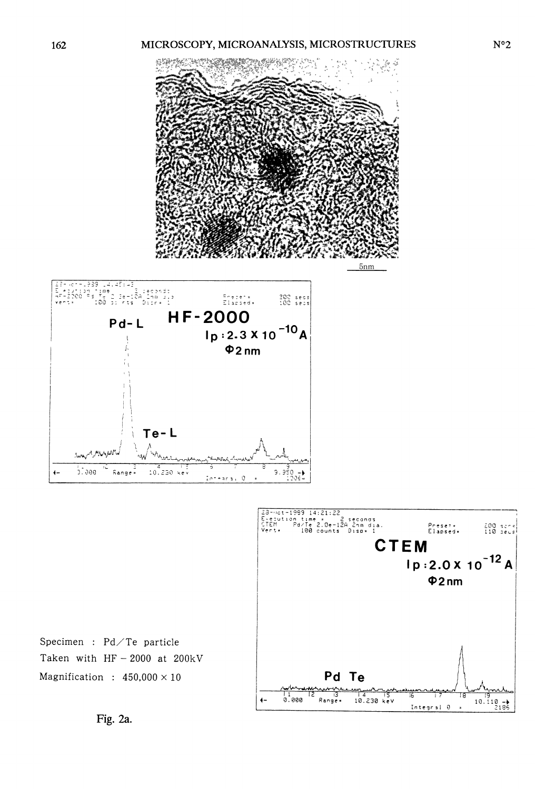

Fig. 2a.